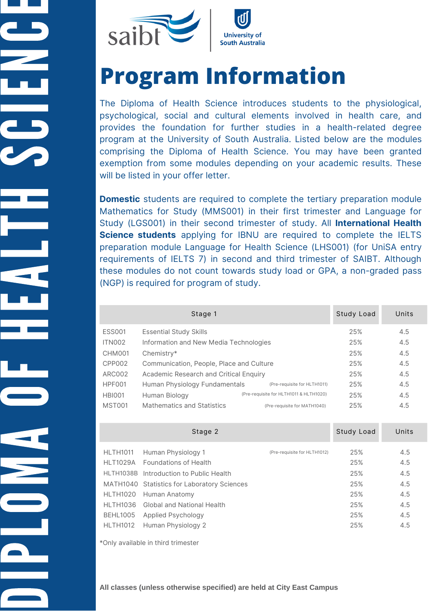

# **Program Information**

The Diploma of Health Science introduces students to the physiological, psychological, social and cultural elements involved in health care, and provides the foundation for further studies in a health-related degree program at the University of South Australia. Listed below are the modules comprising the Diploma of Health Science. You may have been granted exemption from some modules depending on your academic results. These will be listed in your offer letter.

**Domestic** students are required to complete the tertiary preparation module Mathematics for Study (MMS001) in their first trimester and Language for Study (LGS001) in their second trimester of study. All **International Health Science students** applying for IBNU are required to complete the IELTS preparation module Language for Health Science (LHS001) (for UniSA entry requirements of IELTS 7) in second and third trimester of SAIBT. Although these modules do not count towards study load or GPA, a non-graded pass (NGP) is required for program of study.

|               | Stage 1                                  |                                         | Study Load | Units |
|---------------|------------------------------------------|-----------------------------------------|------------|-------|
| <b>ESS001</b> | <b>Essential Study Skills</b>            |                                         | 25%        | 4.5   |
| <b>ITN002</b> | Information and New Media Technologies   |                                         | 25%        | 4.5   |
| <b>CHM001</b> | Chemistry*                               |                                         | 25%        | 4.5   |
| CPP002        | Communication, People, Place and Culture |                                         | 25%        | 4.5   |
| <b>ARC002</b> | Academic Research and Critical Enquiry   |                                         | 25%        | 4.5   |
| HPF001        | Human Physiology Fundamentals            | (Pre-requisite for HLTH1011)            | 25%        | 4.5   |
| <b>HBI001</b> | Human Biology                            | (Pre-requisite for HLTH1011 & HLTH1020) | 25%        | 4.5   |
| <b>MST001</b> | <b>Mathematics and Statistics</b>        | (Pre-requisite for MATH1040)            | 25%        | 4.5   |

|                                                                                | Stage 2                                                                                                                                                                                                                                           |                              | Study Load                                           | Units                                                |
|--------------------------------------------------------------------------------|---------------------------------------------------------------------------------------------------------------------------------------------------------------------------------------------------------------------------------------------------|------------------------------|------------------------------------------------------|------------------------------------------------------|
| <b>HLTH1011</b><br>HLTH1020<br>HI TH1036<br><b>BEHL1005</b><br><b>HLTH1012</b> | Human Physiology 1<br>HI T1029A Foundations of Health<br>HLTH1038B Introduction to Public Health<br>MATH1040 Statistics for Laboratory Sciences<br>Human Anatomy<br><b>Global and National Health</b><br>Applied Psychology<br>Human Physiology 2 | (Pre-requisite for HLTH1012) | 25%<br>25%<br>25%<br>25%<br>25%<br>25%<br>25%<br>25% | 4.5<br>4.5<br>4.5<br>4.5<br>4.5<br>4.5<br>4.5<br>4.5 |

\*Only available in third trimester